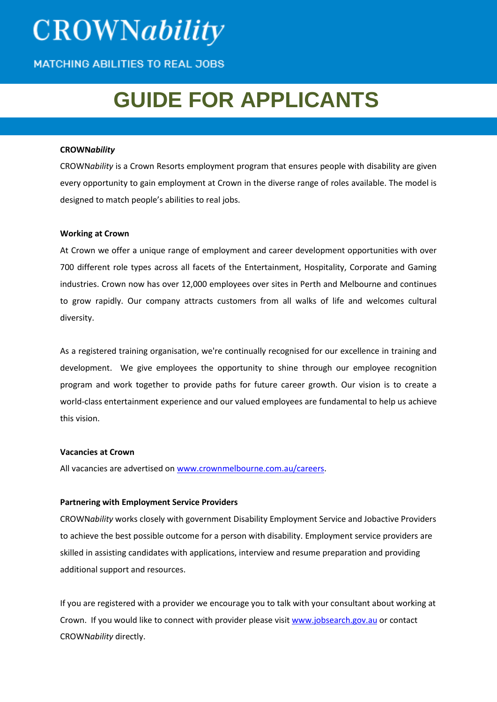

**MATCHING ABILITIES TO REAL JOBS** 

## **GUIDE FOR APPLICANTS**

#### **CROWN***ability*

CROWN*ability* is a Crown Resorts employment program that ensures people with disability are given every opportunity to gain employment at Crown in the diverse range of roles available. The model is designed to match people's abilities to real jobs.

#### **Working at Crown**

At Crown we offer a unique range of employment and career development opportunities with over 700 different role types across all facets of the Entertainment, Hospitality, Corporate and Gaming industries. Crown now has over 12,000 employees over sites in Perth and Melbourne and continues to grow rapidly. Our company attracts customers from all walks of life and welcomes cultural diversity.

As a registered training organisation, we're continually recognised for our excellence in training and development. We give employees the opportunity to shine through our employee recognition program and work together to provide paths for future career growth. Our vision is to create a world-class entertainment experience and our valued employees are fundamental to help us achieve this vision.

#### **Vacancies at Crown**

All vacancies are advertised on [www.crownmelbourne.com.au/careers.](http://www.crownmelbourne.com.au/careers)

### **Partnering with Employment Service Providers**

CROWN*ability* works closely with government Disability Employment Service and Jobactive Providers to achieve the best possible outcome for a person with disability. Employment service providers are skilled in assisting candidates with applications, interview and resume preparation and providing additional support and resources.

If you are registered with a provider we encourage you to talk with your consultant about working at Crown. If you would like to connect with provider please visi[t www.jobsearch.gov.au](http://www.jobsearch.gov.au/) or contact CROWN*ability* directly.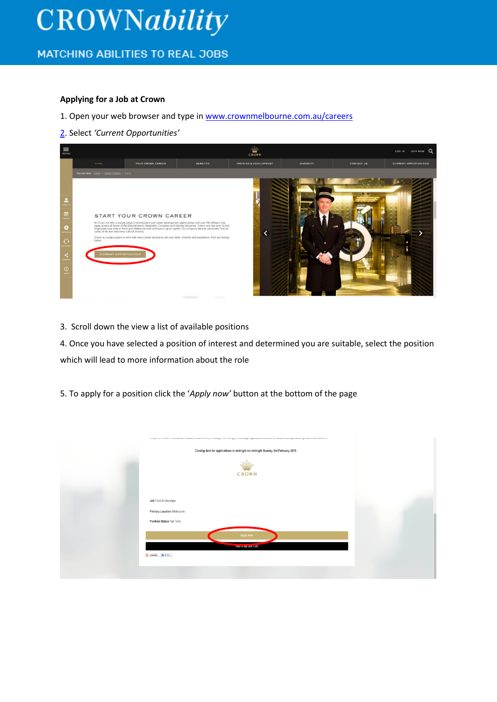# **CROWNability**

### **MATCHING ABILITIES TO REAL JOBS**

### **Applying for a Job at Crown**

1. Open your web browser and type in www.crownmelbourne.com.au/careers

### [2.](http://www.crownmelbourne.com.au/careers%202) Select *'Current Opportunities'*



3. Scroll down the view a list of available positions

4. Once you have selected a position of interest and determined you are suitable, select the position which will lead to more information about the role

5. To apply for a position click the '*Apply now'* button at the bottom of the page

| The best of event in the uniformer interaction and enteresty enteresty, the enteripty enterestingly approvation as extreme an extra material acceptance and an interaction and an interactional |  |
|-------------------------------------------------------------------------------------------------------------------------------------------------------------------------------------------------|--|
| Closing date for applications is midnight on midnight Sunday 3rd February 2019.                                                                                                                 |  |
| äis<br><b>CROWN</b>                                                                                                                                                                             |  |
|                                                                                                                                                                                                 |  |
| Job Food & Beverage                                                                                                                                                                             |  |
| <b>Primary Location Melbourne</b>                                                                                                                                                               |  |
| Position Status Full Time                                                                                                                                                                       |  |
| <b>Apply Now</b>                                                                                                                                                                                |  |
| <b>MARKETWAND CAR</b>                                                                                                                                                                           |  |
| O SHARE <b>EVEL</b>                                                                                                                                                                             |  |
|                                                                                                                                                                                                 |  |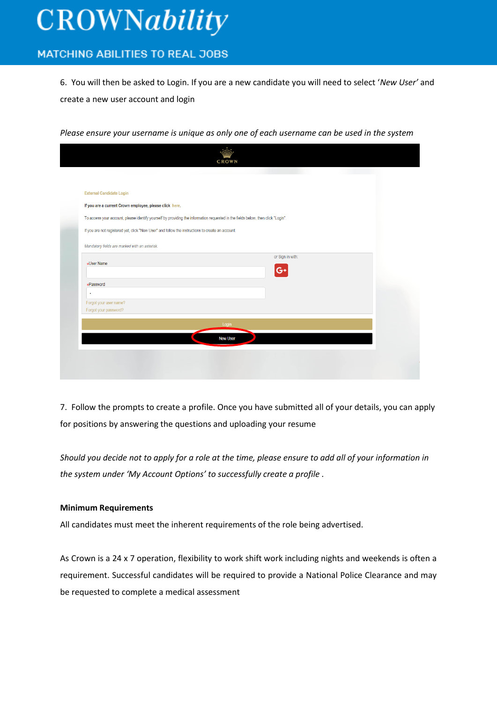# **CROWNability**

### **MATCHING ABILITIES TO REAL JOBS**

6. You will then be asked to Login. If you are a new candidate you will need to select '*New User'* and create a new user account and login

*Please ensure your username is unique as only one of each username can be used in the system* 

| <b>CROWN</b>                                                                                                                     |  |
|----------------------------------------------------------------------------------------------------------------------------------|--|
|                                                                                                                                  |  |
| <b>External Candidate Login</b>                                                                                                  |  |
| If you are a current Crown employee, please click here.                                                                          |  |
| To access your account, please identify yourself by providing the information requested in the fields below, then click "Login". |  |
| If you are not registered yet, click "New User" and follow the instructions to create an account.                                |  |
| Mandatory fields are marked with an asterisk.                                                                                    |  |
| or Sign in with:                                                                                                                 |  |
| <b>*User Name</b><br>$G^+$                                                                                                       |  |
| <b>*Password</b>                                                                                                                 |  |
| $\bullet$                                                                                                                        |  |
| Forgot your user name?<br>Forgot your password?                                                                                  |  |
| Login                                                                                                                            |  |
| <b>New User</b>                                                                                                                  |  |
|                                                                                                                                  |  |
|                                                                                                                                  |  |
|                                                                                                                                  |  |

7. Follow the prompts to create a profile. Once you have submitted all of your details, you can apply for positions by answering the questions and uploading your resume

*Should you decide not to apply for a role at the time, please ensure to add all of your information in the system under 'My Account Options' to successfully create a profile .* 

### **Minimum Requirements**

All candidates must meet the inherent requirements of the role being advertised.

As Crown is a 24 x 7 operation, flexibility to work shift work including nights and weekends is often a requirement. Successful candidates will be required to provide a National Police Clearance and may be requested to complete a medical assessment